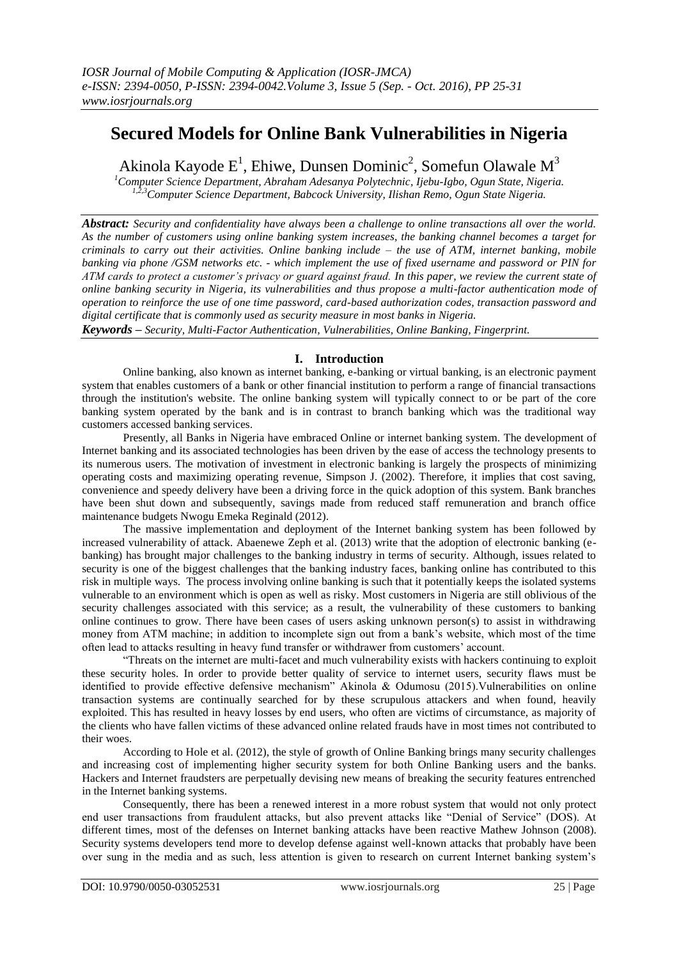# **Secured Models for Online Bank Vulnerabilities in Nigeria**

Akinola Kayode E<sup>1</sup>, Ehiwe, Dunsen Dominic<sup>2</sup>, Somefun Olawale M<sup>3</sup>

*<sup>1</sup>Computer Science Department, Abraham Adesanya Polytechnic, Ijebu-Igbo, Ogun State, Nigeria. 1,2,3Computer Science Department, Babcock University, Ilishan Remo, Ogun State Nigeria.*

*Abstract: Security and confidentiality have always been a challenge to online transactions all over the world. As the number of customers using online banking system increases, the banking channel becomes a target for criminals to carry out their activities. Online banking include – the use of ATM, internet banking, mobile banking via phone /GSM networks etc. - which implement the use of fixed username and password or PIN for ATM cards to protect a customer's privacy or guard against fraud. In this paper, we review the current state of online banking security in Nigeria, its vulnerabilities and thus propose a multi-factor authentication mode of operation to reinforce the use of one time password, card-based authorization codes, transaction password and digital certificate that is commonly used as security measure in most banks in Nigeria.* 

*Keywords – Security, Multi-Factor Authentication, Vulnerabilities, Online Banking, Fingerprint.*

# **I. Introduction**

Online banking, also known as internet banking, e-banking or virtual banking, is an electronic payment system that enables customers of a bank or other financial institution to perform a range of financial transactions through the institution's website. The online banking system will typically connect to or be part of the core banking system operated by the bank and is in contrast to branch banking which was the traditional way customers accessed banking services.

Presently, all Banks in Nigeria have embraced Online or internet banking system. The development of Internet banking and its associated technologies has been driven by the ease of access the technology presents to its numerous users. The motivation of investment in electronic banking is largely the prospects of minimizing operating costs and maximizing operating revenue, Simpson J. (2002). Therefore, it implies that cost saving, convenience and speedy delivery have been a driving force in the quick adoption of this system. Bank branches have been shut down and subsequently, savings made from reduced staff remuneration and branch office maintenance budgets Nwogu Emeka Reginald (2012).

The massive implementation and deployment of the Internet banking system has been followed by increased vulnerability of attack. Abaenewe Zeph et al. (2013) write that the adoption of electronic banking (ebanking) has brought major challenges to the banking industry in terms of security. Although, issues related to security is one of the biggest challenges that the banking industry faces, banking online has contributed to this risk in multiple ways. The process involving online banking is such that it potentially keeps the isolated systems vulnerable to an environment which is open as well as risky. Most customers in Nigeria are still oblivious of the security challenges associated with this service; as a result, the vulnerability of these customers to banking online continues to grow. There have been cases of users asking unknown person(s) to assist in withdrawing money from ATM machine; in addition to incomplete sign out from a bank"s website, which most of the time often lead to attacks resulting in heavy fund transfer or withdrawer from customers" account.

"Threats on the internet are multi-facet and much vulnerability exists with hackers continuing to exploit these security holes. In order to provide better quality of service to internet users, security flaws must be identified to provide effective defensive mechanism" Akinola & Odumosu (2015).Vulnerabilities on online transaction systems are continually searched for by these scrupulous attackers and when found, heavily exploited. This has resulted in heavy losses by end users, who often are victims of circumstance, as majority of the clients who have fallen victims of these advanced online related frauds have in most times not contributed to their woes.

According to Hole et al. (2012), the style of growth of Online Banking brings many security challenges and increasing cost of implementing higher security system for both Online Banking users and the banks. Hackers and Internet fraudsters are perpetually devising new means of breaking the security features entrenched in the Internet banking systems.

Consequently, there has been a renewed interest in a more robust system that would not only protect end user transactions from fraudulent attacks, but also prevent attacks like "Denial of Service" (DOS). At different times, most of the defenses on Internet banking attacks have been reactive Mathew Johnson (2008). Security systems developers tend more to develop defense against well-known attacks that probably have been over sung in the media and as such, less attention is given to research on current Internet banking system"s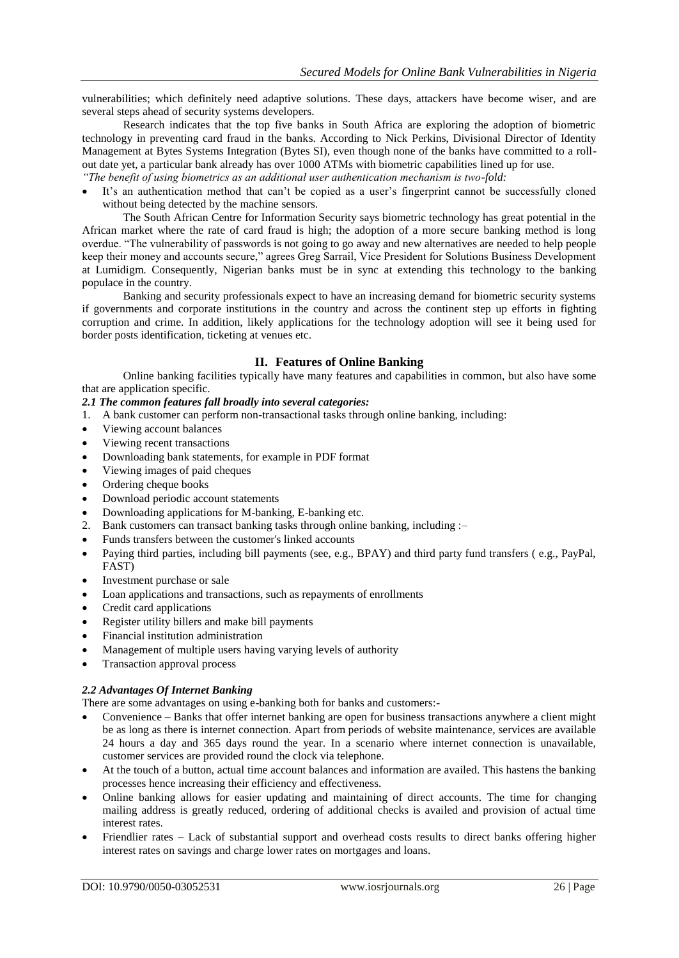vulnerabilities; which definitely need adaptive solutions. These days, attackers have become wiser, and are several steps ahead of security systems developers.

Research indicates that the top five banks in South Africa are exploring the adoption of biometric technology in preventing card fraud in the banks. According to Nick Perkins, Divisional Director of Identity Management at Bytes Systems Integration (Bytes SI), even though none of the banks have committed to a rollout date yet, a particular bank already has over 1000 ATMs with biometric capabilities lined up for use. *"The benefit of using biometrics as an additional user authentication mechanism is two-fold:* 

• It's an authentication method that can't be copied as a user's fingerprint cannot be successfully cloned without being detected by the machine sensors.

The South African Centre for Information Security says biometric technology has great potential in the African market where the rate of card fraud is high; the adoption of a more secure banking method is long overdue. "The vulnerability of passwords is not going to go away and new alternatives are needed to help people keep their money and accounts secure," agrees Greg Sarrail, Vice President for Solutions Business Development at Lumidigm. Consequently, Nigerian banks must be in sync at extending this technology to the banking populace in the country.

Banking and security professionals expect to have an increasing demand for biometric security systems if governments and corporate institutions in the country and across the continent step up efforts in fighting corruption and crime. In addition, likely applications for the technology adoption will see it being used for border posts identification, ticketing at venues etc.

## **II. Features of Online Banking**

Online banking facilities typically have many features and capabilities in common, but also have some that are application specific.

#### *2.1 The common features fall broadly into several categories:*

- 1. A bank customer can perform non-transactional tasks through online banking, including:
- Viewing account balances
- Viewing recent transactions
- Downloading bank statements, for example in PDF format
- Viewing images of paid cheques
- Ordering cheque books
- Download periodic account statements
- Downloading applications for M-banking, E-banking etc.
- 2. Bank customers can transact banking tasks through online banking, including :–
- Funds transfers between the customer's linked accounts
- Paying third parties, including bill payments (see, e.g., BPAY) and third party fund transfers ( e.g., PayPal, FAST)
- Investment purchase or sale
- Loan applications and transactions, such as repayments of enrollments
- Credit card applications
- Register utility billers and make bill payments
- Financial institution administration
- Management of multiple users having varying levels of authority
- Transaction approval process

## *2.2 Advantages Of Internet Banking*

There are some advantages on using e-banking both for banks and customers:-

- Convenience Banks that offer internet banking are open for business transactions anywhere a client might be as long as there is internet connection. Apart from periods of website maintenance, services are available 24 hours a day and 365 days round the year. In a scenario where internet connection is unavailable, customer services are provided round the clock via telephone.
- At the touch of a button, actual time account balances and information are availed. This hastens the banking processes hence increasing their efficiency and effectiveness.
- Online banking allows for easier updating and maintaining of direct accounts. The time for changing mailing address is greatly reduced, ordering of additional checks is availed and provision of actual time interest rates.
- Friendlier rates Lack of substantial support and overhead costs results to direct banks offering higher interest rates on savings and charge lower rates on mortgages and loans.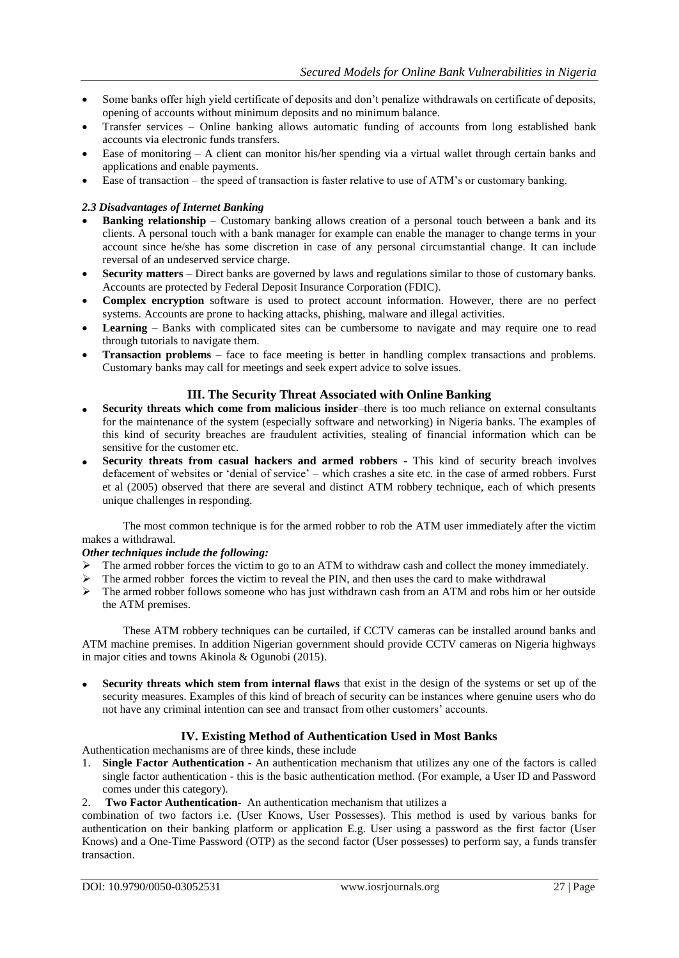- Some banks offer high yield certificate of deposits and don"t penalize withdrawals on certificate of deposits, opening of accounts without minimum deposits and no minimum balance.
- Transfer services Online banking allows automatic funding of accounts from long established bank accounts via electronic funds transfers.
- Ease of monitoring A client can monitor his/her spending via a virtual wallet through certain banks and applications and enable payments.
- Ease of transaction the speed of transaction is faster relative to use of ATM"s or customary banking.

## *2.3 Disadvantages of Internet Banking*

- **Banking relationship** Customary banking allows creation of a personal touch between a bank and its clients. A personal touch with a bank manager for example can enable the manager to change terms in your account since he/she has some discretion in case of any personal circumstantial change. It can include reversal of an undeserved service charge.
- **Security matters** Direct banks are governed by laws and regulations similar to those of customary banks. Accounts are protected by Federal Deposit Insurance Corporation (FDIC).
- **Complex encryption** software is used to protect account information. However, there are no perfect systems. Accounts are prone to hacking attacks, phishing, malware and illegal activities.
- **Learning** Banks with complicated sites can be cumbersome to navigate and may require one to read through tutorials to navigate them.
- **Transaction problems** face to face meeting is better in handling complex transactions and problems. Customary banks may call for meetings and seek expert advice to solve issues.

## **III. The Security Threat Associated with Online Banking**

- **Security threats which come from malicious insider**–there is too much reliance on external consultants for the maintenance of the system (especially software and networking) in Nigeria banks. The examples of this kind of security breaches are fraudulent activities, stealing of financial information which can be sensitive for the customer etc.
- **Security threats from casual hackers and armed robbers -** This kind of security breach involves defacement of websites or "denial of service" – which crashes a site etc. in the case of armed robbers. Furst et al (2005) observed that there are several and distinct ATM robbery technique, each of which presents unique challenges in responding.

The most common technique is for the armed robber to rob the ATM user immediately after the victim makes a withdrawal.

## *Other techniques include the following:*

- $\triangleright$  The armed robber forces the victim to go to an ATM to withdraw cash and collect the money immediately.
- $\triangleright$  The armed robber forces the victim to reveal the PIN, and then uses the card to make withdrawal
- $\triangleright$  The armed robber follows someone who has just withdrawn cash from an ATM and robs him or her outside the ATM premises.

These ATM robbery techniques can be curtailed, if CCTV cameras can be installed around banks and ATM machine premises. In addition Nigerian government should provide CCTV cameras on Nigeria highways in major cities and towns Akinola & Ogunobi (2015).

 **Security threats which stem from internal flaws** that exist in the design of the systems or set up of the security measures. Examples of this kind of breach of security can be instances where genuine users who do not have any criminal intention can see and transact from other customers' accounts.

## **IV. Existing Method of Authentication Used in Most Banks**

Authentication mechanisms are of three kinds, these include

- 1. **Single Factor Authentication -** An authentication mechanism that utilizes any one of the factors is called single factor authentication - this is the basic authentication method. (For example, a User ID and Password comes under this category).
- 2. **Two Factor Authentication-** An authentication mechanism that utilizes a

combination of two factors i.e. (User Knows, User Possesses). This method is used by various banks for authentication on their banking platform or application E.g. User using a password as the first factor (User Knows) and a One-Time Password (OTP) as the second factor (User possesses) to perform say, a funds transfer transaction.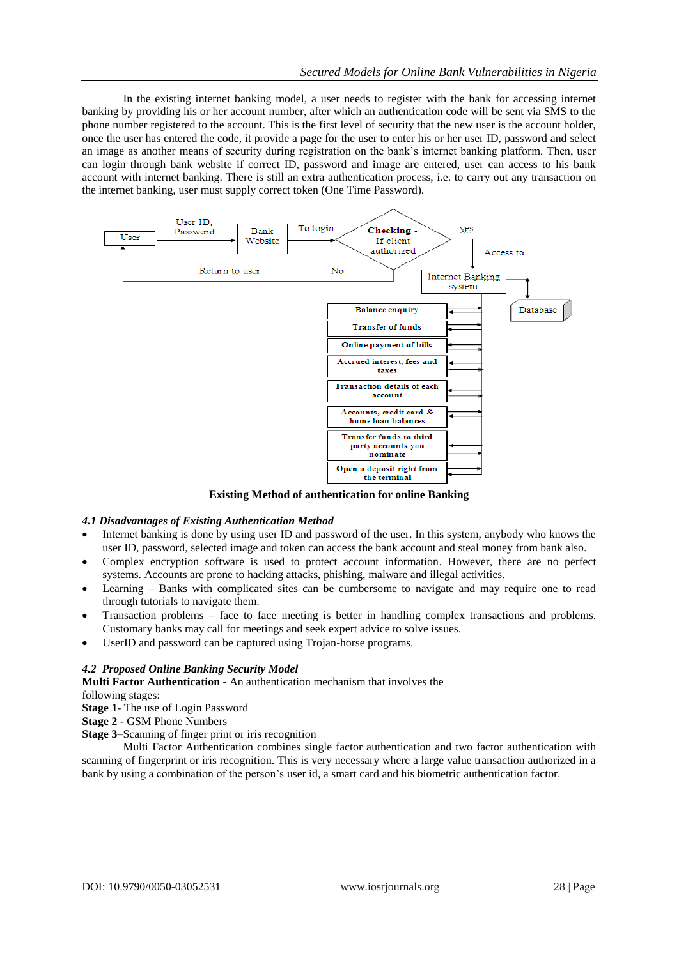In the existing internet banking model, a user needs to register with the bank for accessing internet banking by providing his or her account number, after which an authentication code will be sent via SMS to the phone number registered to the account. This is the first level of security that the new user is the account holder, once the user has entered the code, it provide a page for the user to enter his or her user ID, password and select an image as another means of security during registration on the bank"s internet banking platform. Then, user can login through bank website if correct ID, password and image are entered, user can access to his bank account with internet banking. There is still an extra authentication process, i.e. to carry out any transaction on the internet banking, user must supply correct token (One Time Password).



**Existing Method of authentication for online Banking**

## *4.1 Disadvantages of Existing Authentication Method*

- Internet banking is done by using user ID and password of the user. In this system, anybody who knows the user ID, password, selected image and token can access the bank account and steal money from bank also.
- Complex encryption software is used to protect account information. However, there are no perfect systems. Accounts are prone to hacking attacks, phishing, malware and illegal activities.
- Learning Banks with complicated sites can be cumbersome to navigate and may require one to read through tutorials to navigate them.
- Transaction problems face to face meeting is better in handling complex transactions and problems. Customary banks may call for meetings and seek expert advice to solve issues.
- UserID and password can be captured using Trojan-horse programs.

#### *4.2 Proposed Online Banking Security Model*

**Multi Factor Authentication -** An authentication mechanism that involves the following stages:

**Stage 1**- The use of Login Password

**Stage 2** - GSM Phone Numbers

**Stage 3**–Scanning of finger print or iris recognition

Multi Factor Authentication combines single factor authentication and two factor authentication with scanning of fingerprint or iris recognition. This is very necessary where a large value transaction authorized in a bank by using a combination of the person"s user id, a smart card and his biometric authentication factor.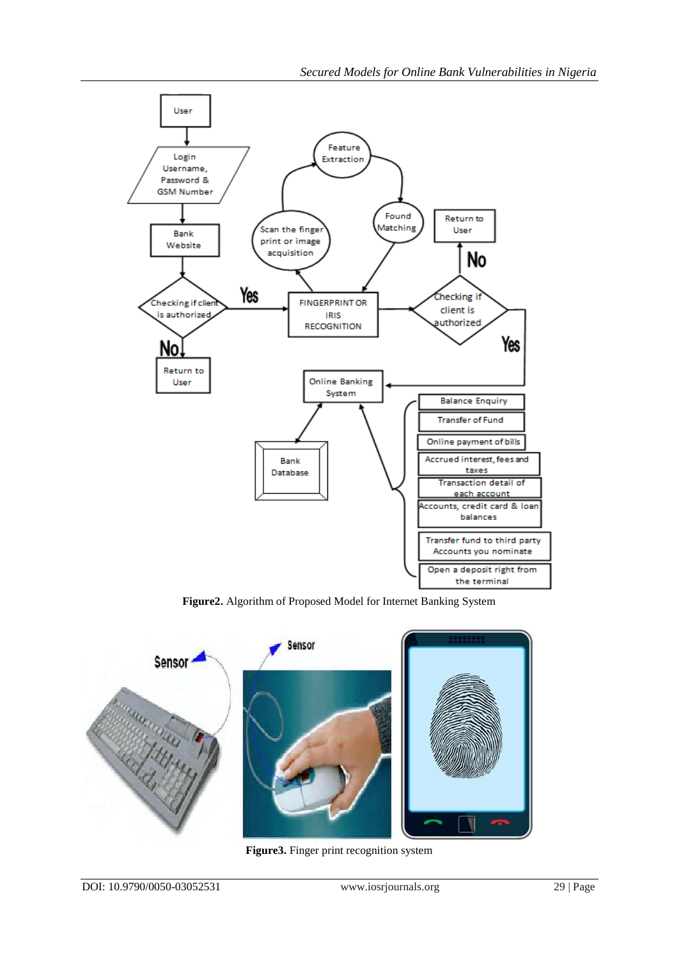

**Figure2.** Algorithm of Proposed Model for Internet Banking System



**Figure3.** Finger print recognition system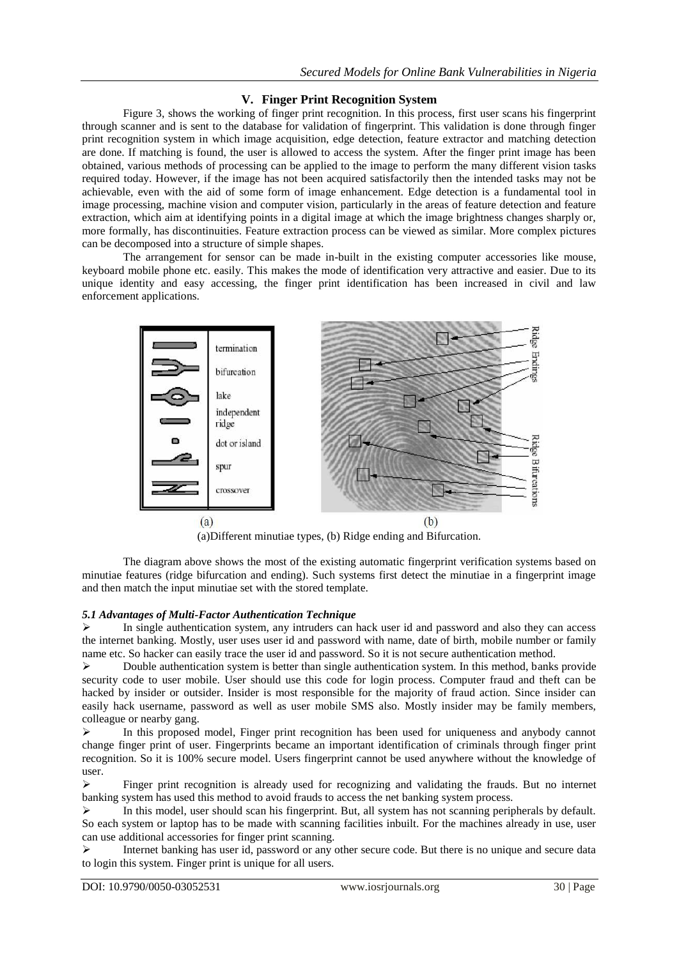## **V. Finger Print Recognition System**

Figure 3, shows the working of finger print recognition. In this process, first user scans his fingerprint through scanner and is sent to the database for validation of fingerprint. This validation is done through finger print recognition system in which image acquisition, edge detection, feature extractor and matching detection are done. If matching is found, the user is allowed to access the system. After the finger print image has been obtained, various methods of processing can be applied to the image to perform the many different vision tasks required today. However, if the image has not been acquired satisfactorily then the intended tasks may not be achievable, even with the aid of some form of image enhancement. Edge detection is a fundamental tool in image processing, machine vision and computer vision, particularly in the areas of feature detection and feature extraction, which aim at identifying points in a digital image at which the image brightness changes sharply or, more formally, has discontinuities. Feature extraction process can be viewed as similar. More complex pictures can be decomposed into a structure of simple shapes.

The arrangement for sensor can be made in-built in the existing computer accessories like mouse, keyboard mobile phone etc. easily. This makes the mode of identification very attractive and easier. Due to its unique identity and easy accessing, the finger print identification has been increased in civil and law enforcement applications.



(a)Different minutiae types, (b) Ridge ending and Bifurcation.

The diagram above shows the most of the existing automatic fingerprint verification systems based on minutiae features (ridge bifurcation and ending). Such systems first detect the minutiae in a fingerprint image and then match the input minutiae set with the stored template.

## *5.1 Advantages of Multi-Factor Authentication Technique*

 In single authentication system, any intruders can hack user id and password and also they can access the internet banking. Mostly, user uses user id and password with name, date of birth, mobile number or family name etc. So hacker can easily trace the user id and password. So it is not secure authentication method.

 $\triangleright$  Double authentication system is better than single authentication system. In this method, banks provide security code to user mobile. User should use this code for login process. Computer fraud and theft can be hacked by insider or outsider. Insider is most responsible for the majority of fraud action. Since insider can easily hack username, password as well as user mobile SMS also. Mostly insider may be family members, colleague or nearby gang.

 In this proposed model, Finger print recognition has been used for uniqueness and anybody cannot change finger print of user. Fingerprints became an important identification of criminals through finger print recognition. So it is 100% secure model. Users fingerprint cannot be used anywhere without the knowledge of user.

 Finger print recognition is already used for recognizing and validating the frauds. But no internet banking system has used this method to avoid frauds to access the net banking system process.

 $\triangleright$  In this model, user should scan his fingerprint. But, all system has not scanning peripherals by default. So each system or laptop has to be made with scanning facilities inbuilt. For the machines already in use, user can use additional accessories for finger print scanning.

 Internet banking has user id, password or any other secure code. But there is no unique and secure data to login this system. Finger print is unique for all users.